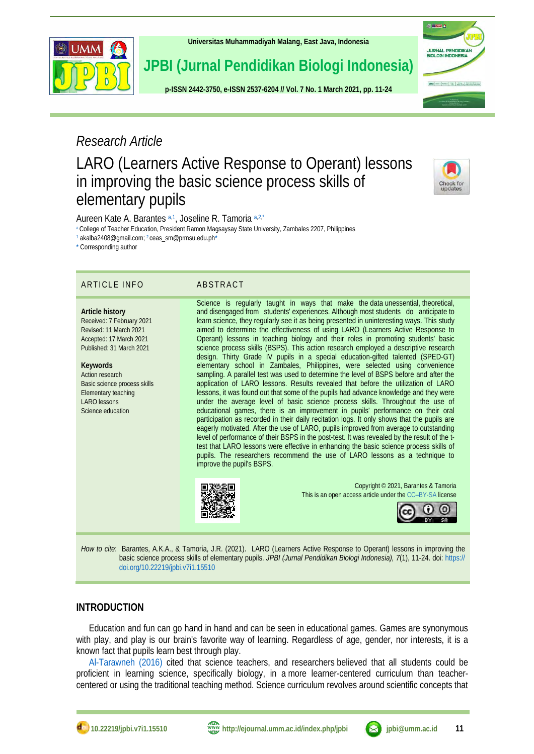

**[Universitas Muhammadiyah Malang,](http://ejournal.umm.ac.id/) East Java, Indonesia**

**JPBI (Jurnal Pendidikan Biologi Indonesia)**

**p-ISS[N 2442-3750,](http://u.lipi.go.id/1422867894) e-ISS[N 2537-6204](http://u.lipi.go.id/1460300524) // Vol. 7 No. 1 March 2021, pp. 11-24**

# *Research Article*

# LARO (Learners Active Response to Operant) lessons in improving the basic science process skills of elementary pupils

<span id="page-0-4"></span>Aureen Kate A. Barantes [a,](#page-0-0)[1](#page-0-1) , Joseline R. Tamoria [a,](#page-0-0)[2,](#page-0-2)[\\*](#page-0-3)

<span id="page-0-0"></span>[a](#page-0-4) College of Teacher Education, President Ramon Magsaysay State University, Zambales 2207, Philippines

<span id="page-0-2"></span><span id="page-0-1"></span>[1](#page-0-5) akalba2408@gmail.com[;](#page-0-6) <sup>2</sup> ceas\_sm@prmsu.edu.p[h\\*](#page-0-7)

<span id="page-0-7"></span>[\\*](#page-0-8) Corresponding author

# ARTICLE INFO ABSTRACT

**Article history** Received: 7 February 2021 Revised: 11 March 2021 Accepted: 17 March 2021 Published: 31 March 2021

**Keywords** Action research Basic science process skills Elementary teaching LARO lessons Science education

<span id="page-0-8"></span><span id="page-0-6"></span><span id="page-0-5"></span><span id="page-0-3"></span>Science is regularly taught in ways that make the data unessential, theoretical, and disengaged from students' experiences. Although most students do anticipate to learn science, they regularly see it as being presented in uninteresting ways. This study aimed to determine the effectiveness of using LARO (Learners Active Response to Operant) lessons in teaching biology and their roles in promoting students' basic science process skills (BSPS). This action research employed a descriptive research design. Thirty Grade IV pupils in a special education-gifted talented (SPED-GT) elementary school in Zambales, Philippines, were selected using convenience sampling. A parallel test was used to determine the level of BSPS before and after the application of LARO lessons. Results revealed that before the utilization of LARO lessons, it was found out that some of the pupils had advance knowledge and they were under the average level of basic science process skills. Throughout the use of educational games, there is an improvement in pupils' performance on their oral participation as recorded in their daily recitation logs. It only shows that the pupils are eagerly motivated. After the use of LARO, pupils improved from average to outstanding level of performance of their BSPS in the post-test. It was revealed by the result of the ttest that LARO lessons were effective in enhancing the basic science process skills of pupils. The researchers recommend the use of LARO lessons as a technique to improve the pupil's BSPS.



Copyright © 2021, Barantes & Tamoria This is an open access article under the CC–[BY-SA](http://creativecommons.org/licenses/by-sa/4.0/) license



*How to cite*: Barantes, A.K.A., & Tamoria, J.R. (2021). LARO (Learners Active Response to Operant) lessons in improving the basic science process skills of elementary pupils. *JPBI (Jurnal Pendidikan Biologi Indonesia), 7*(1), 11-24. doi: [https://](https://doi.org/10.22219/jpbi.v7i1.15510) [doi.org/10.22219/jpbi.v7i1.15510](https://doi.org/10.22219/jpbi.v7i1.15510)

# **INTRODUCTION**

Education and fun can go hand in hand and can be seen in educational games. Games are synonymous with play, and play is our brain's favorite way of learning. Regardless of age, gender, nor interests, it is a known fact that pupils learn best through play.

[Al-Tarawneh \(2016\)](#page-11-0) cited that science teachers, and researchers believed that all students could be proficient in learning science, specifically biology, in a more learner-centered curriculum than teachercentered or using the traditional teaching method. Science curriculum revolves around scientific concepts that



**DE ETODOS** 

**JURNAL PENDIDIKA**<br>BIOLOGI INDONESIA

 $J\overline{v} \overline{u} \overline{u} \mid t \longmapsto \overline{t} \text{ and } \overline{v} \overline{u} \overline{u} \mid \frac{t \overline{u} \overline{u} \overline{u}}{t \overline{u} \overline{u}} \mid \frac{t \overline{u} \overline{u} \overline{u}}{u \overline{u} \overline{u} \overline{u} \overline{u} \overline{u}} \mid \frac{t \overline{u} \overline{u} \overline{u} \overline{u} \overline{u} \overline{u} \overline{u} \overline{u} \overline{u} \overline{u} \overline{u$ 

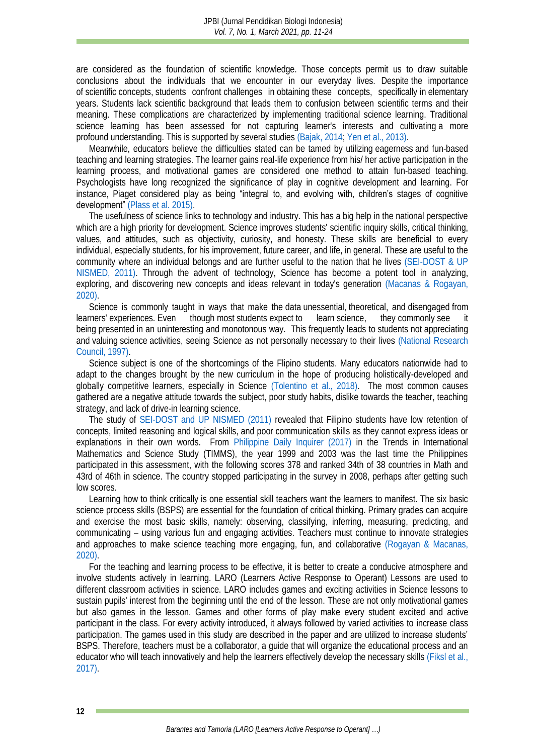are considered as the foundation of scientific knowledge. Those concepts permit us to draw suitable conclusions about the individuals that we encounter in our everyday lives. Despite the importance of scientific concepts, students confront challenges in obtaining these concepts, specifically in elementary years. Students lack scientific background that leads them to confusion between scientific terms and their meaning. These complications are characterized by implementing traditional science learning. Traditional science learning has been assessed for not capturing learner's interests and cultivating a more profound understanding. This is supported by several studies [\(Bajak, 2014;](#page-11-1) [Yen et al., 2013\).](#page-13-0)

Meanwhile, educators believe the difficulties stated can be tamed by utilizing eagerness and fun-based teaching and learning strategies. The learner gains real-life experience from his/ her active participation in the learning process, and motivational games are considered one method to attain fun-based teaching. Psychologists have long recognized the significance of play in cognitive development and learning. For instance, Piaget considered play as being "integral to, and evolving with, children's stages of cognitive development" [\(Plass et al. 2015\).](#page-12-0)

The usefulness of science links to technology and industry. This has a big help in the national perspective which are a high priority for development. Science improves students' scientific inquiry skills, critical thinking, values, and attitudes, such as objectivity, curiosity, and honesty. These skills are beneficial to every individual, especially students, for his improvement, future career, and life, in general. These are useful to the community where an individual belongs and are further useful to the nation that he lives [\(SEI-DOST & UP](#page-12-1)  [NISMED, 2011\).](#page-12-1) Through the advent of technology, Science has become a potent tool in analyzing, exploring, and discovering new concepts and ideas relevant in today's generation [\(Macanas & Rogayan,](#page-12-2)  [2020\).](#page-12-2)

Science is commonly taught in ways that make the data unessential, theoretical, and disengaged from learners' experiences. Even though most students expect to learn science, they commonly see it being presented in an uninteresting and monotonous way. This frequently leads to students not appreciating and valuing science activities, seeing Science as not personally necessary to their lives [\(National Research](#page-12-3)  [Council, 1997\).](#page-12-3)

Science subject is one of the shortcomings of the Flipino students. Many educators nationwide had to adapt to the changes brought by the new curriculum in the hope of producing holistically-developed and globally competitive learners, especially in Science [\(Tolentino et al., 2018\).](#page-12-4) The most common causes gathered are a negative attitude towards the subject, poor study habits, dislike towards the teacher, teaching strategy, and lack of drive-in learning science.

The study of [SEI-DOST and UP NISMED \(2011\)](#page-12-1) revealed that Filipino students have low retention of concepts, limited reasoning and logical skills, and poor communication skills as they cannot express ideas or explanations in their own words. From [Philippine Daily](#page-12-5) Inquirer (2017) in the Trends in International Mathematics and Science Study (TIMMS), the year 1999 and 2003 was the last time the Philippines participated in this assessment, with the following scores 378 and ranked 34th of 38 countries in Math and 43rd of 46th in science. The country stopped participating in the survey in 2008, perhaps after getting such low scores.

Learning how to think critically is one essential skill teachers want the learners to manifest. The six basic science process skills (BSPS) are essential for the foundation of critical thinking. Primary grades can acquire and exercise the most basic skills, namely: observing, classifying, inferring, measuring, predicting, and communicating – using various fun and engaging activities. Teachers must continue to innovate strategies and approaches to make science teaching more engaging, fun, and collaborative [\(Rogayan & Macanas,](#page-12-6)  [2020\).](#page-12-6)

For the teaching and learning process to be effective, it is better to create a conducive atmosphere and involve students actively in learning. LARO (Learners Active Response to Operant) Lessons are used to different classroom activities in science. LARO includes games and exciting activities in Science lessons to sustain pupils' interest from the beginning until the end of the lesson. These are not only motivational games but also games in the lesson. Games and other forms of play make every student excited and active participant in the class. For every activity introduced, it always followed by varied activities to increase class participation. The games used in this study are described in the paper and are utilized to increase students' BSPS. Therefore, teachers must be a collaborator, a guide that will organize the educational process and an educator who will teach innovatively and help the learners effectively develop the necessary skills [\(Fiksl et al.,](#page-11-2)  [2017\).](#page-11-2)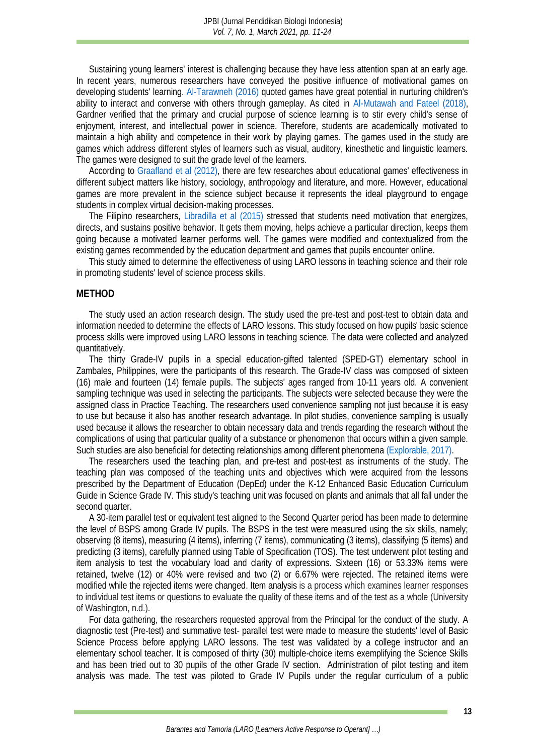Sustaining young learners' interest is challenging because they have less attention span at an early age. In recent years, numerous researchers have conveyed the positive influence of motivational games on developing students' learning. [Al-Tarawneh \(2016\)](#page-11-0) quoted games have great potential in nurturing children's ability to interact and converse with others through gameplay. As cited in [Al-Mutawah and Fateel \(2018\),](#page-11-3) Gardner verified that the primary and crucial purpose of science learning is to stir every child's sense of enjoyment, interest, and intellectual power in science. Therefore, students are academically motivated to maintain a high ability and competence in their work by playing games. The games used in the study are games which address different styles of learners such as visual, auditory, kinesthetic and linguistic learners. The games were designed to suit the grade level of the learners.

According to [Graafland et al](#page-11-4) (2012), there are few researches about educational games' effectiveness in different subject matters like history, sociology, anthropology and literature, and more. However, educational games are more prevalent in the science subject because it represents the ideal playground to engage students in complex virtual decision-making processes.

The Filipino researchers, [Libradilla et al](#page-12-7) (2015) stressed that students need motivation that energizes, directs, and sustains positive behavior. It gets them moving, helps achieve a particular direction, keeps them going because a motivated learner performs well. The games were modified and contextualized from the existing games recommended by the education department and games that pupils encounter online.

This study aimed to determine the effectiveness of using LARO lessons in teaching science and their role in promoting students' level of science process skills.

#### **METHOD**

The study used an action research design. The study used the pre-test and post-test to obtain data and information needed to determine the effects of LARO lessons. This study focused on how pupils' basic science process skills were improved using LARO lessons in teaching science. The data were collected and analyzed quantitatively.

The thirty Grade-IV pupils in a special education-gifted talented (SPED-GT) elementary school in Zambales, Philippines, were the participants of this research. The Grade-IV class was composed of sixteen (16) male and fourteen (14) female pupils. The subjects' ages ranged from 10-11 years old. A convenient sampling technique was used in selecting the participants. The subjects were selected because they were the assigned class in Practice Teaching. The researchers used convenience sampling not just because it is easy to use but because it also has another research advantage. In pilot studies, convenience sampling is usually used because it allows the researcher to obtain necessary data and trends regarding the research without the complications of using that particular quality of a substance or phenomenon that occurs within a given sample. Such studies are also beneficial for detecting relationships among different phenomen[a \(Explorable, 2017\).](#page-11-5)

The researchers used the teaching plan, and pre-test and post-test as instruments of the study. The teaching plan was composed of the teaching units and objectives which were acquired from the lessons prescribed by the Department of Education (DepEd) under the K-12 Enhanced Basic Education Curriculum Guide in Science Grade IV. This study's teaching unit was focused on plants and animals that all fall under the second quarter.

A 30-item parallel test or equivalent test aligned to the Second Quarter period has been made to determine the level of BSPS among Grade IV pupils. The BSPS in the test were measured using the six skills, namely; observing (8 items), measuring (4 items), inferring (7 items), communicating (3 items), classifying (5 items) and predicting (3 items), carefully planned using Table of Specification (TOS). The test underwent pilot testing and item analysis to test the vocabulary load and clarity of expressions. Sixteen (16) or 53.33% items were retained, twelve (12) or 40% were revised and two (2) or 6.67% were rejected. The retained items were modified while the rejected items were changed. Item analysis is a process which examines learner responses to individual test items or questions to evaluate the quality of these items and of the test as a whole (University of Washington, n.d.).

For data gathering, **t**he researchers requested approval from the Principal for the conduct of the study. A diagnostic test (Pre-test) and summative test- parallel test were made to measure the students' level of Basic Science Process before applying LARO lessons. The test was validated by a college instructor and an elementary school teacher. It is composed of thirty (30) multiple-choice items exemplifying the Science Skills and has been tried out to 30 pupils of the other Grade IV section. Administration of pilot testing and item analysis was made. The test was piloted to Grade IV Pupils under the regular curriculum of a public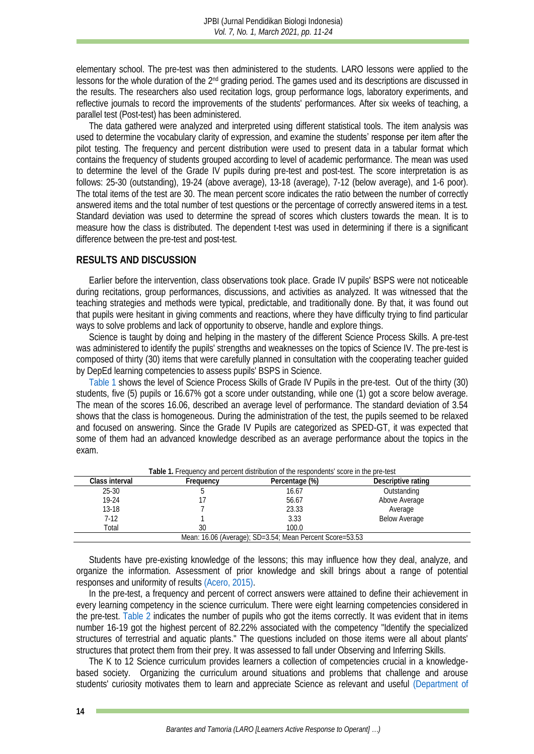elementary school. The pre-test was then administered to the students. LARO lessons were applied to the lessons for the whole duration of the 2nd grading period. The games used and its descriptions are discussed in the results. The researchers also used recitation logs, group performance logs, laboratory experiments, and reflective journals to record the improvements of the students' performances. After six weeks of teaching, a parallel test (Post-test) has been administered.

The data gathered were analyzed and interpreted using different statistical tools. The item analysis was used to determine the vocabulary clarity of expression, and examine the students' response per item after the pilot testing. The frequency and percent distribution were used to present data in a tabular format which contains the frequency of students grouped according to level of academic performance. The mean was used to determine the level of the Grade IV pupils during pre-test and post-test. The score interpretation is as follows: 25-30 (outstanding), 19-24 (above average), 13-18 (average), 7-12 (below average), and 1-6 poor). The total items of the test are 30. The mean percent score indicates the ratio between the number of correctly answered items and the total number of test questions or the percentage of correctly answered items in a test. Standard deviation was used to determine the spread of scores which clusters towards the mean. It is to measure how the class is distributed. The dependent t-test was used in determining if there is a significant difference between the pre-test and post-test.

### **RESULTS AND DISCUSSION**

Earlier before the intervention, class observations took place. Grade IV pupils' BSPS were not noticeable during recitations, group performances, discussions, and activities as analyzed. It was witnessed that the teaching strategies and methods were typical, predictable, and traditionally done. By that, it was found out that pupils were hesitant in giving comments and reactions, where they have difficulty trying to find particular ways to solve problems and lack of opportunity to observe, handle and explore things.

Science is taught by doing and helping in the mastery of the different Science Process Skills. A pre-test was administered to identify the pupils' strengths and weaknesses on the topics of Science IV. The pre-test is composed of thirty (30) items that were carefully planned in consultation with the cooperating teacher guided by DepEd learning competencies to assess pupils' BSPS in Science.

[Table 1](#page-3-0) shows the level of Science Process Skills of Grade IV Pupils in the pre-test. Out of the thirty (30) students, five (5) pupils or 16.67% got a score under outstanding, while one (1) got a score below average. The mean of the scores 16.06, described an average level of performance. The standard deviation of 3.54 shows that the class is homogeneous. During the administration of the test, the pupils seemed to be relaxed and focused on answering. Since the Grade IV Pupils are categorized as SPED-GT, it was expected that some of them had an advanced knowledge described as an average performance about the topics in the exam.

<span id="page-3-0"></span>

| rapie T. Frequency and percent distribution of the respondents score in the pre-test. |           |                |                    |  |  |  |
|---------------------------------------------------------------------------------------|-----------|----------------|--------------------|--|--|--|
| Class interval                                                                        | Frequency | Percentage (%) | Descriptive rating |  |  |  |
| $25 - 30$                                                                             |           | 16.67          | Outstanding        |  |  |  |
| $19-24$                                                                               |           | 56.67          | Above Average      |  |  |  |
| $13-18$                                                                               |           | 23.33          | Average            |  |  |  |
| $7-12$                                                                                |           | 3.33           | Below Average      |  |  |  |
| Total                                                                                 | 30        | 100.0          |                    |  |  |  |
| Mean: 16.06 (Average); SD=3.54; Mean Percent Score=53.53                              |           |                |                    |  |  |  |

**Table 1.** Frequency and percent distribution of the respondents' score in the pre-test

Students have pre-existing knowledge of the lessons; this may influence how they deal, analyze, and organize the information. Assessment of prior knowledge and skill brings about a range of potential responses and uniformity of result[s \(Acero, 2015\).](#page-11-6)

In the pre-test, a frequency and percent of correct answers were attained to define their achievement in every learning competency in the science curriculum. There were eight learning competencies considered in the pre-test. [Table 2](#page-4-0) indicates the number of pupils who got the items correctly. It was evident that in items number 16-19 got the highest percent of 82.22% associated with the competency "Identify the specialized structures of terrestrial and aquatic plants." The questions included on those items were all about plants' structures that protect them from their prey. It was assessed to fall under Observing and Inferring Skills.

The K to 12 Science curriculum provides learners a collection of competencies crucial in a knowledgebased society. Organizing the curriculum around situations and problems that challenge and arouse students' curiosity motivates them to learn and appreciate Science as relevant and useful [\(Department of](#page-11-7)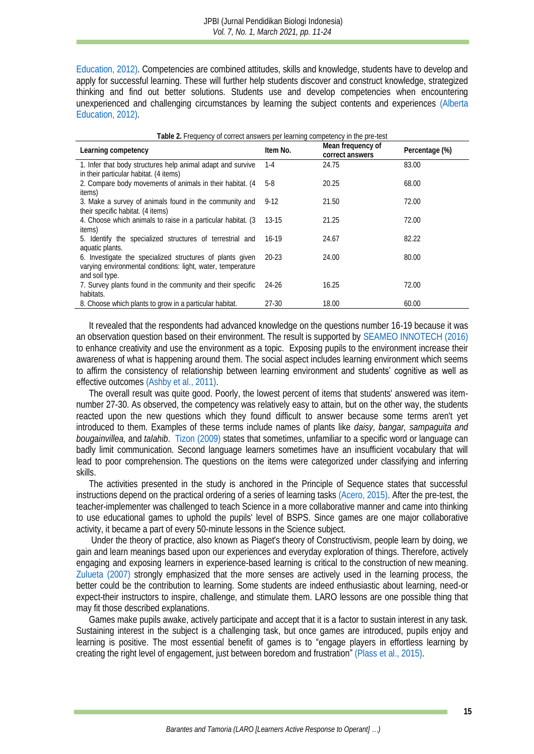[Education, 2012\).](#page-11-7) Competencies are combined attitudes, skills and knowledge, students have to develop and apply for successful learning. These will further help students discover and construct knowledge, strategized thinking and find out better solutions. Students use and develop competencies when encountering unexperienced and challenging circumstances by learning the subject contents and experiences [\(Alberta](#page-11-8)  [Education, 2012\).](#page-11-8) 

<span id="page-4-0"></span>

| Table 2. Frequency of correct answers per learning competency in the pre-test |           |                                      |                |  |  |  |
|-------------------------------------------------------------------------------|-----------|--------------------------------------|----------------|--|--|--|
| Learning competency                                                           | Item No.  | Mean frequency of<br>correct answers | Percentage (%) |  |  |  |
| 1. Infer that body structures help animal adapt and survive                   | $1 - 4$   | 24.75                                | 83.00          |  |  |  |
| in their particular habitat. (4 items)                                        |           |                                      |                |  |  |  |
| 2. Compare body movements of animals in their habitat. (4                     | 5-8       | 20.25                                | 68.00          |  |  |  |
| items)                                                                        |           |                                      |                |  |  |  |
| 3. Make a survey of animals found in the community and                        | $9-12$    | 21.50                                | 72.00          |  |  |  |
| their specific habitat. (4 items)                                             |           |                                      |                |  |  |  |
| 4. Choose which animals to raise in a particular habitat. (3)                 | $13 - 15$ | 21.25                                | 72.00          |  |  |  |
| items)                                                                        |           |                                      |                |  |  |  |
| 5. Identify the specialized structures of terrestrial and                     | $16-19$   | 24.67                                | 82.22          |  |  |  |
| aquatic plants.                                                               |           |                                      |                |  |  |  |
| 6. Investigate the specialized structures of plants given                     | $20 - 23$ | 24.00                                | 80.00          |  |  |  |
| varying environmental conditions: light, water, temperature                   |           |                                      |                |  |  |  |
| and soil type.                                                                |           |                                      |                |  |  |  |
| 7. Survey plants found in the community and their specific                    | 24-26     | 16.25                                | 72.00          |  |  |  |
| habitats.                                                                     |           |                                      |                |  |  |  |
| 8. Choose which plants to grow in a particular habitat.                       | 27-30     | 18.00                                | 60.00          |  |  |  |

It revealed that the respondents had advanced knowledge on the questions number 16-19 because it was an observation question based on their environment. The result is supported by [SEAMEO INNOTECH \(2016\)](#page-12-8) to enhance creativity and use the environment as a topic. Exposing pupils to the environment increase their awareness of what is happening around them. The social aspect includes learning environment which seems to affirm the consistency of relationship between learning environment and students' cognitive as well as effective outcomes (Ashby [et al., 2011\).](#page-11-9)

The overall result was quite good. Poorly, the lowest percent of items that students' answered was itemnumber 27-30. As observed, the competency was relatively easy to attain, but on the other way, the students reacted upon the new questions which they found difficult to answer because some terms aren't yet introduced to them. Examples of these terms include names of plants like *daisy, bangar, sampaguita and bougainvillea,* and *talahib*. [Tizon \(2009\)](#page-12-9) states that sometimes, unfamiliar to a specific word or language can badly limit communication. Second language learners sometimes have an insufficient vocabulary that will lead to poor comprehension. The questions on the items were categorized under classifying and inferring skills.

The activities presented in the study is anchored in the Principle of Sequence states that successful instructions depend on the practical ordering of a series of learning task[s \(Acero, 2015\).](#page-11-6) After the pre-test, the teacher-implementer was challenged to teach Science in a more collaborative manner and came into thinking to use educational games to uphold the pupils' level of BSPS. Since games are one major collaborative activity, it became a part of every 50-minute lessons in the Science subject.

Under the theory of practice, also known as Piaget's theory of Constructivism, people learn by doing, we gain and learn meanings based upon our experiences and everyday exploration of things. Therefore, actively engaging and exposing learners in experience-based learning is critical to the construction of new meaning. [Zulueta \(2007\)](#page-13-1) strongly emphasized that the more senses are actively used in the learning process, the better could be the contribution to learning. Some students are indeed enthusiastic about learning, need-or expect-their instructors to inspire, challenge, and stimulate them. LARO lessons are one possible thing that may fit those described explanations.

Games make pupils awake, actively participate and accept that it is a factor to sustain interest in any task. Sustaining interest in the subject is a challenging task, but once games are introduced, pupils enjoy and learning is positive. The most essential benefit of games is to "engage players in effortless learning by creating the right level of engagement, just between boredom and frustration" [\(Plass et al., 2015\).](#page-12-0)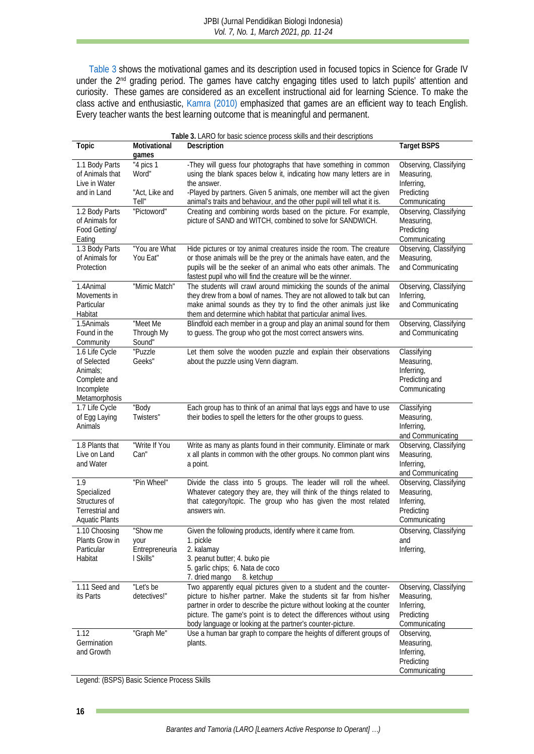[Table 3](#page-5-0) shows the motivational games and its description used in focused topics in Science for Grade IV under the 2<sup>nd</sup> grading period. The games have catchy engaging titles used to latch pupils' attention and curiosity. These games are considered as an excellent instructional aid for learning Science. To make the class active and enthusiastic, [Kamra \(2010\)](#page-11-10) emphasized that games are an efficient way to teach English. Every teacher wants the best learning outcome that is meaningful and permanent.

<span id="page-5-0"></span>

| Table 3. LARO for basic science process skills and their descriptions                    |                                                 |                                                                                                                                                                                                                                                                                                                                                          |                                                                                   |  |  |
|------------------------------------------------------------------------------------------|-------------------------------------------------|----------------------------------------------------------------------------------------------------------------------------------------------------------------------------------------------------------------------------------------------------------------------------------------------------------------------------------------------------------|-----------------------------------------------------------------------------------|--|--|
| Topic                                                                                    | Motivational<br>games                           | Description                                                                                                                                                                                                                                                                                                                                              | <b>Target BSPS</b>                                                                |  |  |
| 1.1 Body Parts<br>of Animals that<br>Live in Water<br>and in Land                        | "4 pics 1<br>Word"<br>"Act, Like and<br>Tell"   | -They will guess four photographs that have something in common<br>using the blank spaces below it, indicating how many letters are in<br>the answer.<br>-Played by partners. Given 5 animals, one member will act the given<br>animal's traits and behaviour, and the other pupil will tell what it is.                                                 | Observing, Classifying<br>Measuring,<br>Inferring,<br>Predicting<br>Communicating |  |  |
| 1.2 Body Parts<br>of Animals for<br>Food Getting/<br>Eating                              | "Pictoword"                                     | Creating and combining words based on the picture. For example,<br>picture of SAND and WITCH, combined to solve for SANDWICH.                                                                                                                                                                                                                            | Observing, Classifying<br>Measuring,<br>Predicting<br>Communicating               |  |  |
| 1.3 Body Parts<br>of Animals for<br>Protection                                           | "You are What<br>You Eat"                       | Hide pictures or toy animal creatures inside the room. The creature<br>or those animals will be the prey or the animals have eaten, and the<br>pupils will be the seeker of an animal who eats other animals. The<br>fastest pupil who will find the creature will be the winner.                                                                        | Observing, Classifying<br>Measuring,<br>and Communicating                         |  |  |
| 1.4Animal<br>Movements in<br>Particular<br>Habitat                                       | "Mimic Match"                                   | The students will crawl around mimicking the sounds of the animal<br>they drew from a bowl of names. They are not allowed to talk but can<br>make animal sounds as they try to find the other animals just like<br>them and determine which habitat that particular animal lives.                                                                        | Observing, Classifying<br>Inferring,<br>and Communicating                         |  |  |
| 1.5Animals<br>Found in the<br>Community                                                  | "Meet Me<br>Through My<br>Sound"                | Blindfold each member in a group and play an animal sound for them<br>to guess. The group who got the most correct answers wins.                                                                                                                                                                                                                         | Observing, Classifying<br>and Communicating                                       |  |  |
| 1.6 Life Cycle<br>of Selected<br>Animals:<br>Complete and<br>Incomplete<br>Metamorphosis | "Puzzle<br>Geeks"                               | Let them solve the wooden puzzle and explain their observations<br>about the puzzle using Venn diagram.                                                                                                                                                                                                                                                  | Classifying<br>Measuring,<br>Inferring,<br>Predicting and<br>Communicating        |  |  |
| 1.7 Life Cycle<br>of Egg Laying<br>Animals                                               | "Body<br>Twisters"                              | Each group has to think of an animal that lays eggs and have to use<br>their bodies to spell the letters for the other groups to guess.                                                                                                                                                                                                                  | Classifying<br>Measuring,<br>Inferring,<br>and Communicating                      |  |  |
| 1.8 Plants that<br>Live on Land<br>and Water                                             | "Write If You<br>Can"                           | Write as many as plants found in their community. Eliminate or mark<br>x all plants in common with the other groups. No common plant wins<br>a point.                                                                                                                                                                                                    | Observing, Classifying<br>Measuring,<br>Inferring,<br>and Communicating           |  |  |
| 1.9<br>Specialized<br>Structures of<br>Terrestrial and<br>Aquatic Plants                 | "Pin Wheel"                                     | Divide the class into 5 groups. The leader will roll the wheel.<br>Whatever category they are, they will think of the things related to<br>that category/topic. The group who has given the most related<br>answers win.                                                                                                                                 | Observing, Classifying<br>Measuring,<br>Inferring,<br>Predicting<br>Communicating |  |  |
| 1.10 Choosing<br>Plants Grow in<br>Particular<br>Habitat                                 | "Show me<br>your<br>Entrepreneuria<br>I Skills" | Given the following products, identify where it came from.<br>1. pickle<br>2. kalamay<br>3. peanut butter; 4. buko pie<br>5. garlic chips; 6. Nata de coco<br>7. dried mango<br>8. ketchup                                                                                                                                                               | Observing, Classifying<br>and<br>Inferring,                                       |  |  |
| 1.11 Seed and<br>its Parts                                                               | "Let's be<br>detectives!"                       | Two apparently equal pictures given to a student and the counter-<br>picture to his/her partner. Make the students sit far from his/her<br>partner in order to describe the picture without looking at the counter<br>picture. The game's point is to detect the differences without using<br>body language or looking at the partner's counter-picture. | Observing, Classifying<br>Measuring,<br>Inferring,<br>Predicting<br>Communicating |  |  |
| 1.12<br>Germination<br>and Growth                                                        | "Graph Me"                                      | Use a human bar graph to compare the heights of different groups of<br>plants.                                                                                                                                                                                                                                                                           | Observing,<br>Measuring,<br>Inferring,<br>Predicting<br>Communicating             |  |  |

Legend: (BSPS) Basic Science Process Skills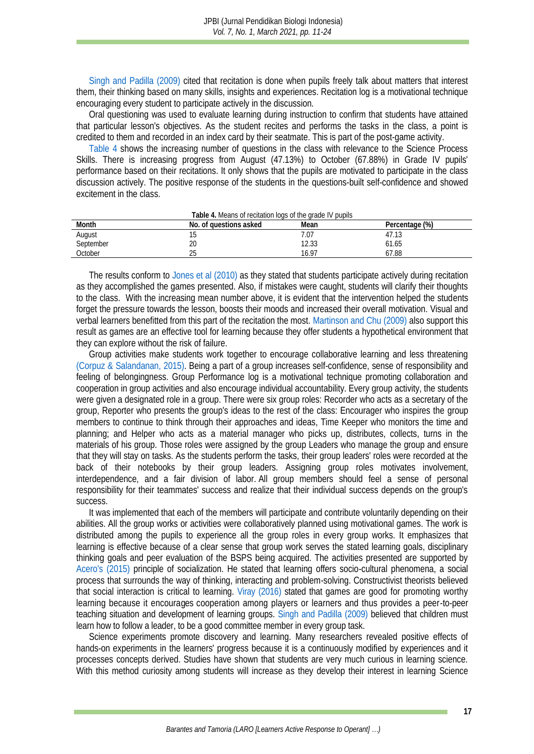[Singh and Padilla \(2009\)](#page-12-10) cited that recitation is done when pupils freely talk about matters that interest them, their thinking based on many skills, insights and experiences. Recitation log is a motivational technique encouraging every student to participate actively in the discussion.

Oral questioning was used to evaluate learning during instruction to confirm that students have attained that particular lesson's objectives. As the student recites and performs the tasks in the class, a point is credited to them and recorded in an index card by their seatmate. This is part of the post-game activity.

[Table 4](#page-6-0) shows the increasing number of questions in the class with relevance to the Science Process Skills. There is increasing progress from August (47.13%) to October (67.88%) in Grade IV pupils' performance based on their recitations. It only shows that the pupils are motivated to participate in the class discussion actively. The positive response of the students in the questions-built self-confidence and showed excitement in the class.

<span id="page-6-0"></span>

| LAUIC 4. IVICALIS ULTCURATULI IUGS ULTIIC GLAUC I V DUDIIS |                        |       |                |  |
|------------------------------------------------------------|------------------------|-------|----------------|--|
| Month                                                      | No. of questions asked | Mean  | Percentage (%) |  |
| August                                                     |                        |       |                |  |
| September                                                  | 20                     | 12.33 | 61.65          |  |
| October                                                    |                        | 16.97 | 67.88          |  |
|                                                            |                        |       |                |  |

**Table 4.** Means of recitation logs of the grade IV pupils

The results conform to [Jones et al](#page-11-11) (2010) as they stated that students participate actively during recitation as they accomplished the games presented. Also, if mistakes were caught, students will clarify their thoughts to the class. With the increasing mean number above, it is evident that the intervention helped the students forget the pressure towards the lesson, boosts their moods and increased their overall motivation. Visual and verbal learners benefitted from this part of the recitation the most. [Martinson and Chu \(2009\)](#page-12-11) also support this result as games are an effective tool for learning because they offer students a hypothetical environment that they can explore without the risk of failure.

Group activities make students work together to encourage collaborative learning and less threatening [\(Corpuz & Salandanan, 2015\).](#page-11-12) Being a part of a group increases self-confidence, sense of responsibility and feeling of belongingness. Group Performance log is a motivational technique promoting collaboration and cooperation in group activities and also encourage individual accountability. Every group activity, the students were given a designated role in a group. There were six group roles: Recorder who acts as a secretary of the group, Reporter who presents the group's ideas to the rest of the class: Encourager who inspires the group members to continue to think through their approaches and ideas, Time Keeper who monitors the time and planning; and Helper who acts as a material manager who picks up, distributes, collects, turns in the materials of his group. Those roles were assigned by the group Leaders who manage the group and ensure that they will stay on tasks. As the students perform the tasks, their group leaders' roles were recorded at the back of their notebooks by their group leaders. Assigning group roles motivates involvement, interdependence, and a fair division of labor. All group members should feel a sense of personal responsibility for their teammates' success and realize that their individual success depends on the group's success.

It was implemented that each of the members will participate and contribute voluntarily depending on their abilities. All the group works or activities were collaboratively planned using motivational games. The work is distributed among the pupils to experience all the group roles in every group works. It emphasizes that learning is effective because of a clear sense that group work serves the stated learning goals, disciplinary thinking goals and peer evaluation of the BSPS being acquired. The activities presented are supported by [Acero's \(2015\)](#page-11-6) principle of socialization. He stated that learning offers socio-cultural phenomena, a social process that surrounds the way of thinking, interacting and problem-solving. Constructivist theorists believed that social interaction is critical to learning. [Viray \(2016\)](#page-12-12) stated that games are good for promoting worthy learning because it encourages cooperation among players or learners and thus provides a peer-to-peer teaching situation and development of learning groups. [Singh and Padilla \(2009\)](#page-12-10) believed that children must learn how to follow a leader, to be a good committee member in every group task.

Science experiments promote discovery and learning. Many researchers revealed positive effects of hands-on experiments in the learners' progress because it is a continuously modified by experiences and it processes concepts derived. Studies have shown that students are very much curious in learning science. With this method curiosity among students will increase as they develop their interest in learning Science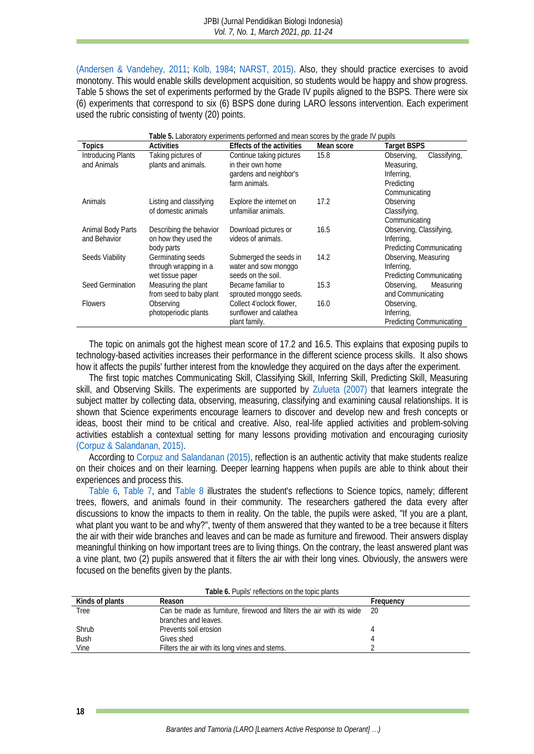[\(Andersen & Vandehey, 2011;](#page-11-13) [Kolb, 1984;](#page-12-13) [NARST, 2015\).](#page-12-14) Also, they should practice exercises to avoid monotony. This would enable skills development acquisition, so students would be happy and show progress. Table 5 shows the set of experiments performed by the Grade IV pupils aligned to the BSPS. There were six (6) experiments that correspond to six (6) BSPS done during LARO lessons intervention. Each experiment used the rubric consisting of twenty (20) points.

| Table 5. Laboratory experiments performed and mean scores by the grade IV pupils |                         |                           |            |                                 |  |
|----------------------------------------------------------------------------------|-------------------------|---------------------------|------------|---------------------------------|--|
| Topics                                                                           | <b>Activities</b>       | Effects of the activities | Mean score | Target BSPS                     |  |
| Introducing Plants                                                               | Taking pictures of      | Continue taking pictures  | 15.8       | Classifying,<br>Observing,      |  |
| and Animals                                                                      | plants and animals.     | in their own home         |            | Measuring,                      |  |
|                                                                                  |                         | gardens and neighbor's    |            | Inferring,                      |  |
|                                                                                  |                         | farm animals.             |            | Predicting                      |  |
|                                                                                  |                         |                           |            | Communicating                   |  |
| Animals                                                                          | Listing and classifying | Explore the internet on   | 17.2       | Observing                       |  |
|                                                                                  | of domestic animals     | unfamiliar animals.       |            | Classifying,                    |  |
|                                                                                  |                         |                           |            | Communicating                   |  |
| Animal Body Parts                                                                | Describing the behavior | Download pictures or      | 16.5       | Observing, Classifying,         |  |
| and Behavior                                                                     | on how they used the    | videos of animals.        |            | Inferring,                      |  |
|                                                                                  | body parts              |                           |            | <b>Predicting Communicating</b> |  |
| Seeds Viability                                                                  | Germinating seeds       | Submerged the seeds in    | 14.2       | Observing, Measuring            |  |
|                                                                                  | through wrapping in a   | water and sow monggo      |            | Inferring,                      |  |
|                                                                                  | wet tissue paper        | seeds on the soil.        |            | Predicting Communicating        |  |
| Seed Germination                                                                 | Measuring the plant     | Became familiar to        | 15.3       | Observing,<br>Measuring         |  |
|                                                                                  | from seed to baby plant | sprouted monggo seeds.    |            | and Communicating               |  |
| Flowers                                                                          | Observing               | Collect 4'oclock flower,  | 16.0       | Observing,                      |  |
|                                                                                  | photoperiodic plants    | sunflower and calathea    |            | Inferring,                      |  |
|                                                                                  |                         | plant family.             |            | Predicting Communicating        |  |

The topic on animals got the highest mean score of 17.2 and 16.5. This explains that exposing pupils to technology-based activities increases their performance in the different science process skills. It also shows how it affects the pupils' further interest from the knowledge they acquired on the days after the experiment.

The first topic matches Communicating Skill, Classifying Skill, Inferring Skill, Predicting Skill, Measuring skill, and Observing Skills. The experiments are supported by [Zulueta \(2007\)](#page-13-1) that learners integrate the subject matter by collecting data, observing, measuring, classifying and examining causal relationships. It is shown that Science experiments encourage learners to discover and develop new and fresh concepts or ideas, boost their mind to be critical and creative. Also, real-life applied activities and problem-solving activities establish a contextual setting for many lessons providing motivation and encouraging curiosity [\(Corpuz & Salandanan, 2015\).](#page-11-12)

According to [Corpuz and Salandanan \(2015\),](#page-11-12) reflection is an authentic activity that make students realize on their choices and on their learning. Deeper learning happens when pupils are able to think about their experiences and process this.

[Table 6,](#page-7-0) [Table 7,](#page-7-1) and [Table 8](#page-8-0) illustrates the student's reflections to Science topics, namely; different trees, flowers, and animals found in their community. The researchers gathered the data every after discussions to know the impacts to them in reality. On the table, the pupils were asked, "If you are a plant, what plant you want to be and why?", twenty of them answered that they wanted to be a tree because it filters the air with their wide branches and leaves and can be made as furniture and firewood. Their answers display meaningful thinking on how important trees are to living things. On the contrary, the least answered plant was a vine plant, two (2) pupils answered that it filters the air with their long vines. Obviously, the answers were focused on the benefits given by the plants.

<span id="page-7-1"></span><span id="page-7-0"></span>

| Kinds of plants | LAME 0. FUMIS TELECTIONS ON THE LOMC MANIST<br>Reason                | Freauencv |
|-----------------|----------------------------------------------------------------------|-----------|
| Tree            | Can be made as furniture, firewood and filters the air with its wide | -20       |
|                 | branches and leaves.                                                 |           |
| Shrub           | Prevents soil erosion                                                |           |
| <b>Bush</b>     | Gives shed                                                           |           |
| Vine            | Filters the air with its long vines and stems.                       |           |

**Table 6.** Pupils' reflections on the topic plants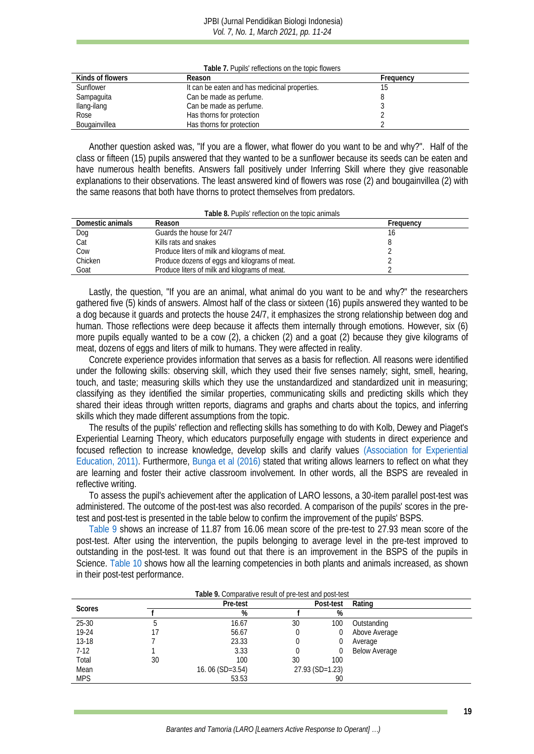#### JPBI (Jurnal Pendidikan Biologi Indonesia) *Vol. 7, No. 1, March 2021, pp. 11-24*

**Table 7.** Pupils' reflections on the topic flowers

| Kinds of flowers | Reason                                        | Frequency |
|------------------|-----------------------------------------------|-----------|
| Sunflower        | It can be eaten and has medicinal properties. |           |
| Sampaguita       | Can be made as perfume.                       |           |
| Ilang-ilang      | Can be made as perfume.                       |           |
| Rose             | Has thorns for protection                     |           |
| Bougainvillea    | Has thorns for protection                     |           |

Another question asked was, "If you are a flower, what flower do you want to be and why?". Half of the class or fifteen (15) pupils answered that they wanted to be a sunflower because its seeds can be eaten and have numerous health benefits. Answers fall positively under Inferring Skill where they give reasonable explanations to their observations. The least answered kind of flowers was rose (2) and bougainvillea (2) with the same reasons that both have thorns to protect themselves from predators.

| Table 8. Pupils' reflection on the topic animals |  |
|--------------------------------------------------|--|
|--------------------------------------------------|--|

<span id="page-8-0"></span>

| Domestic animals | Reason                                        | Frequency |
|------------------|-----------------------------------------------|-----------|
| Dog              | Guards the house for 24/7                     |           |
| Cat              | Kills rats and snakes                         |           |
| Cow              | Produce liters of milk and kilograms of meat. |           |
| Chicken          | Produce dozens of eggs and kilograms of meat. |           |
| Goat             | Produce liters of milk and kilograms of meat. |           |

Lastly, the question, "If you are an animal, what animal do you want to be and why?" the researchers gathered five (5) kinds of answers. Almost half of the class or sixteen (16) pupils answered they wanted to be a dog because it guards and protects the house 24/7, it emphasizes the strong relationship between dog and human. Those reflections were deep because it affects them internally through emotions. However, six (6) more pupils equally wanted to be a cow (2), a chicken (2) and a goat (2) because they give kilograms of meat, dozens of eggs and liters of milk to humans. They were affected in reality.

Concrete experience provides information that serves as a basis for reflection. All reasons were identified under the following skills: observing skill, which they used their five senses namely; sight, smell, hearing, touch, and taste; measuring skills which they use the unstandardized and standardized unit in measuring; classifying as they identified the similar properties, communicating skills and predicting skills which they shared their ideas through written reports, diagrams and graphs and charts about the topics, and inferring skills which they made different assumptions from the topic.

The results of the pupils' reflection and reflecting skills has something to do with Kolb, Dewey and Piaget's Experiential Learning Theory, which educators purposefully engage with students in direct experience and focused reflection to increase knowledge, develop skills and clarify values [\(Association for Experiential](#page-11-14)  [Education, 2011\).](#page-11-14) Furthermore, [Bunga et al](#page-11-15) (2016) stated that writing allows learners to reflect on what they are learning and foster their active classroom involvement. In other words, all the BSPS are revealed in reflective writing.

To assess the pupil's achievement after the application of LARO lessons, a 30-item parallel post-test was administered. The outcome of the post-test was also recorded. A comparison of the pupils' scores in the pretest and post-test is presented in the table below to confirm the improvement of the pupils' BSPS.

[Table 9](#page-8-1) shows an increase of 11.87 from 16.06 mean score of the pre-test to 27.93 mean score of the post-test. After using the intervention, the pupils belonging to average level in the pre-test improved to outstanding in the post-test. It was found out that there is an improvement in the BSPS of the pupils in Science. [Table 10](#page-9-0) shows how all the learning competencies in both plants and animals increased, as shown in their post-test performance.

<span id="page-8-1"></span>

|            |    | Pre-test          | Table 7. Comparative result of prefiest and position<br>Post-test<br>Rating |                 |               |
|------------|----|-------------------|-----------------------------------------------------------------------------|-----------------|---------------|
| Scores     |    | %                 |                                                                             | %               |               |
| $25 - 30$  |    | 16.67             | 30                                                                          | 100             | Outstanding   |
| 19-24      |    | 56.67             |                                                                             |                 | Above Average |
| $13 - 18$  |    | 23.33             |                                                                             |                 | Average       |
| $7-12$     |    | 3.33              |                                                                             |                 | Below Average |
| Total      | 30 | 100               | 30                                                                          | 100             |               |
| Mean       |    | 16.06 $(SD=3.54)$ |                                                                             | 27.93 (SD=1.23) |               |
| <b>MPS</b> |    | 53.53             |                                                                             | 90              |               |

#### **Table 9.** Comparative result of pre-test and post-test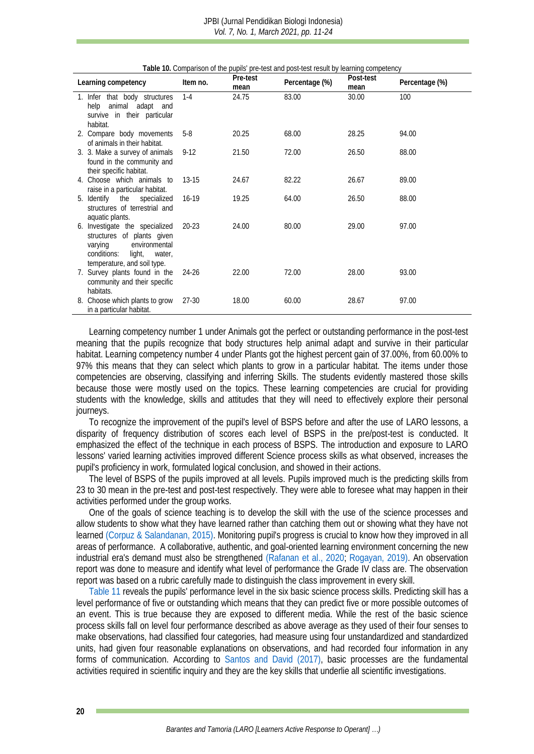<span id="page-9-0"></span>

|                                                                                                                                                            |           | Pre-test | i apie Tu. Comparison or the pupils' pre-test and post-test result by learning competency | Post-test |                |
|------------------------------------------------------------------------------------------------------------------------------------------------------------|-----------|----------|-------------------------------------------------------------------------------------------|-----------|----------------|
| Learning competency                                                                                                                                        | Item no.  | mean     | Percentage (%)                                                                            | mean      | Percentage (%) |
| 1. Infer that body structures<br>help animal adapt and<br>survive in their particular                                                                      | $1 - 4$   | 24.75    | 83.00                                                                                     | 30.00     | 100            |
| habitat.                                                                                                                                                   |           |          |                                                                                           |           |                |
| 2. Compare body movements<br>of animals in their habitat.                                                                                                  | $5-8$     | 20.25    | 68.00                                                                                     | 28.25     | 94.00          |
| 3. 3. Make a survey of animals<br>found in the community and<br>their specific habitat.                                                                    | $9-12$    | 21.50    | 72.00                                                                                     | 26.50     | 88.00          |
| 4. Choose which animals to<br>raise in a particular habitat.                                                                                               | $13-15$   | 24.67    | 82.22                                                                                     | 26.67     | 89.00          |
| specialized<br>5. Identify the<br>structures of terrestrial and<br>aquatic plants.                                                                         | $16-19$   | 19.25    | 64.00                                                                                     | 26.50     | 88.00          |
| 6. Investigate the specialized<br>structures of plants given<br>environmental<br>varying<br>conditions:<br>light,<br>water,<br>temperature, and soil type. | 20-23     | 24.00    | 80.00                                                                                     | 29.00     | 97.00          |
| 7. Survey plants found in the<br>community and their specific<br>habitats.                                                                                 | - 24-26   | 22.00    | 72.00                                                                                     | 28.00     | 93.00          |
| 8. Choose which plants to grow<br>in a particular habitat.                                                                                                 | $27 - 30$ | 18.00    | 60.00                                                                                     | 28.67     | 97.00          |

Learning competency number 1 under Animals got the perfect or outstanding performance in the post-test meaning that the pupils recognize that body structures help animal adapt and survive in their particular habitat. Learning competency number 4 under Plants got the highest percent gain of 37.00%, from 60.00% to 97% this means that they can select which plants to grow in a particular habitat. The items under those competencies are observing, classifying and inferring Skills. The students evidently mastered those skills because those were mostly used on the topics. These learning competencies are crucial for providing students with the knowledge, skills and attitudes that they will need to effectively explore their personal journeys.

To recognize the improvement of the pupil's level of BSPS before and after the use of LARO lessons, a disparity of frequency distribution of scores each level of BSPS in the pre/post-test is conducted. It emphasized the effect of the technique in each process of BSPS. The introduction and exposure to LARO lessons' varied learning activities improved different Science process skills as what observed, increases the pupil's proficiency in work, formulated logical conclusion, and showed in their actions.

The level of BSPS of the pupils improved at all levels. Pupils improved much is the predicting skills from 23 to 30 mean in the pre-test and post-test respectively. They were able to foresee what may happen in their activities performed under the group works.

One of the goals of science teaching is to develop the skill with the use of the science processes and allow students to show what they have learned rather than catching them out or showing what they have not learned [\(Corpuz & Salandanan, 2015\).](#page-11-12) Monitoring pupil's progress is crucial to know how they improved in all areas of performance. A collaborative, authentic, and goal-oriented learning environment concerning the new industrial era's demand must also be strengthened [\(Rafanan et al., 2020;](#page-12-15) [Rogayan, 2019\).](#page-12-16) An observation report was done to measure and identify what level of performance the Grade IV class are. The observation report was based on a rubric carefully made to distinguish the class improvement in every skill.

[Table 11](#page-10-0) reveals the pupils' performance level in the six basic science process skills. Predicting skill has a level performance of five or outstanding which means that they can predict five or more possible outcomes of an event. This is true because they are exposed to different media. While the rest of the basic science process skills fall on level four performance described as above average as they used of their four senses to make observations, had classified four categories, had measure using four unstandardized and standardized units, had given four reasonable explanations on observations, and had recorded four information in any forms of communication. According to [Santos and David \(2017\),](#page-12-17) basic processes are the fundamental activities required in scientific inquiry and they are the key skills that underlie all scientific investigations.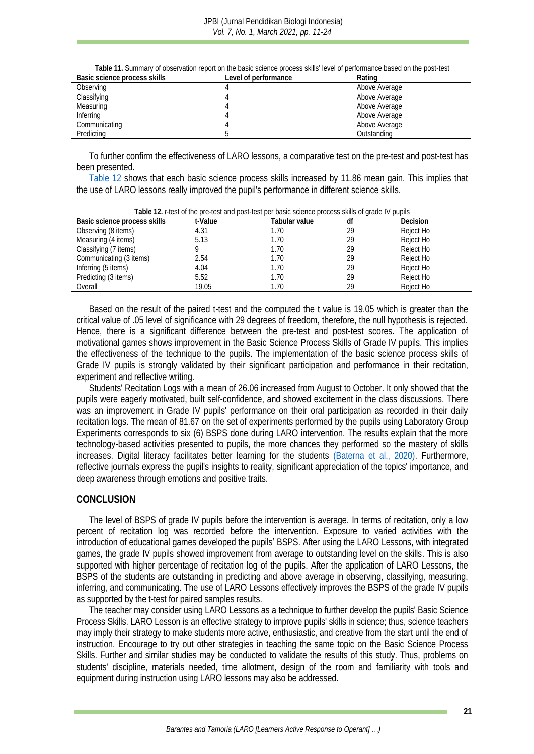<span id="page-10-0"></span>

| Basic science process skills | Level of performance | Rating        |
|------------------------------|----------------------|---------------|
| Observing                    |                      | Above Average |
| Classifying                  |                      | Above Average |
| Measuring                    |                      | Above Average |
| Inferring                    |                      | Above Average |
| Communicating                |                      | Above Average |
| Predicting                   |                      | Outstanding   |

To further confirm the effectiveness of LARO lessons, a comparative test on the pre-test and post-test has been presented.

[Table 12](#page-10-1) shows that each basic science process skills increased by 11.86 mean gain. This implies that the use of LARO lessons really improved the pupil's performance in different science skills.

<span id="page-10-1"></span>

| Table TZ. Liebt of the pre-tept and popt-tept per bable before process sixilis or grade i'v-papils |         |               |    |           |  |  |
|----------------------------------------------------------------------------------------------------|---------|---------------|----|-----------|--|--|
| Basic science process skills                                                                       | t-Value | Tabular value | đt | Decision  |  |  |
| Observing (8 items)                                                                                | 4.31    | 1.70          | 29 | Reject Ho |  |  |
| Measuring (4 items)                                                                                | 5.13    | 1.70          | 29 | Reject Ho |  |  |
| Classifying (7 items)                                                                              |         | 1.70          | 29 | Reject Ho |  |  |
| Communicating (3 items)                                                                            | 2.54    | 1.70          | 29 | Reject Ho |  |  |
| Inferring (5 items)                                                                                | 4.04    | 1.70          | 29 | Reject Ho |  |  |
| Predicting (3 items)                                                                               | 5.52    | 1.70          | 29 | Reject Ho |  |  |
| Overall                                                                                            | 19.05   | 1.70          | 29 | Reject Ho |  |  |

**Table 12.** *t*-test of the pre-test and post-test per basic science process skills of grade IV pupils

Based on the result of the paired t-test and the computed the t value is 19.05 which is greater than the critical value of .05 level of significance with 29 degrees of freedom, therefore, the null hypothesis is rejected. Hence, there is a significant difference between the pre-test and post-test scores. The application of motivational games shows improvement in the Basic Science Process Skills of Grade IV pupils. This implies the effectiveness of the technique to the pupils. The implementation of the basic science process skills of Grade IV pupils is strongly validated by their significant participation and performance in their recitation, experiment and reflective writing.

Students' Recitation Logs with a mean of 26.06 increased from August to October. It only showed that the pupils were eagerly motivated, built self-confidence, and showed excitement in the class discussions. There was an improvement in Grade IV pupils' performance on their oral participation as recorded in their daily recitation logs. The mean of 81.67 on the set of experiments performed by the pupils using Laboratory Group Experiments corresponds to six (6) BSPS done during LARO intervention. The results explain that the more technology-based activities presented to pupils, the more chances they performed so the mastery of skills increases. Digital literacy facilitates better learning for the students [\(Baterna et al., 2020\).](#page-11-16) Furthermore, reflective journals express the pupil's insights to reality, significant appreciation of the topics' importance, and deep awareness through emotions and positive traits.

#### **CONCLUSION**

The level of BSPS of grade IV pupils before the intervention is average. In terms of recitation, only a low percent of recitation log was recorded before the intervention. Exposure to varied activities with the introduction of educational games developed the pupils' BSPS. After using the LARO Lessons, with integrated games, the grade IV pupils showed improvement from average to outstanding level on the skills. This is also supported with higher percentage of recitation log of the pupils. After the application of LARO Lessons, the BSPS of the students are outstanding in predicting and above average in observing, classifying, measuring, inferring, and communicating. The use of LARO Lessons effectively improves the BSPS of the grade IV pupils as supported by the t-test for paired samples results.

The teacher may consider using LARO Lessons as a technique to further develop the pupils' Basic Science Process Skills. LARO Lesson is an effective strategy to improve pupils' skills in science; thus, science teachers may imply their strategy to make students more active, enthusiastic, and creative from the start until the end of instruction. Encourage to try out other strategies in teaching the same topic on the Basic Science Process Skills. Further and similar studies may be conducted to validate the results of this study. Thus, problems on students' discipline, materials needed, time allotment, design of the room and familiarity with tools and equipment during instruction using LARO lessons may also be addressed.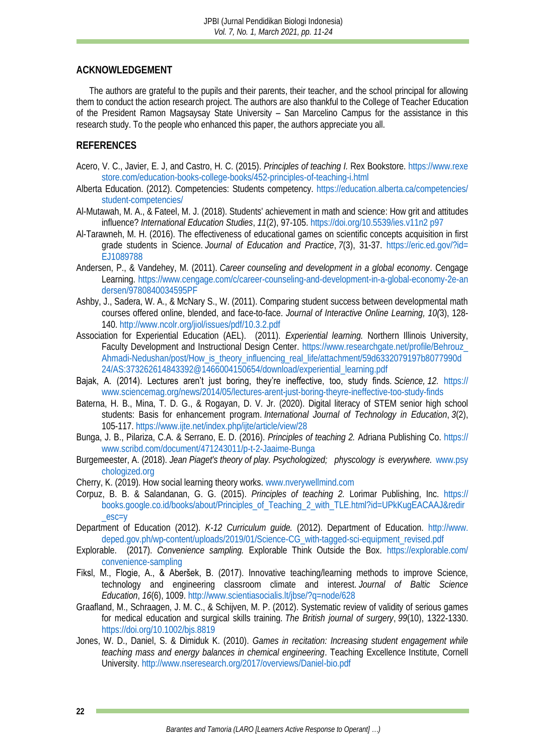# **ACKNOWLEDGEMENT**

The authors are grateful to the pupils and their parents, their teacher, and the school principal for allowing them to conduct the action research project. The authors are also thankful to the College of Teacher Education of the President Ramon Magsaysay State University – San Marcelino Campus for the assistance in this research study. To the people who enhanced this paper, the authors appreciate you all.

# **REFERENCES**

- <span id="page-11-6"></span>Acero, V. C., Javier, E. J, and Castro, H. C. (2015). *Principles of teaching I.* Rex Bookstore. [https://www.rexe](https://www.rexestore.com/education-books-college-books/452-principles-of-teaching-i.html) [store.com/education-books-college-books/452-principles-of-teaching-i.html](https://www.rexestore.com/education-books-college-books/452-principles-of-teaching-i.html)
- <span id="page-11-8"></span>Alberta Education. (2012). Competencies: Students competency. [https://education.alberta.ca/competencies/](https://education.alberta.ca/competencies/student-competencies/) [student-competencies/](https://education.alberta.ca/competencies/student-competencies/)
- <span id="page-11-3"></span>Al-Mutawah, M. A., & Fateel, M. J. (2018). Students' achievement in math and science: How grit and attitudes influence? *International Education Studies*, *11*(2), 97-105. [https://doi.org/10.5539/ies.v11n2](https://doi.org/10.5539/ies.v11n2p97) p97
- <span id="page-11-0"></span>Al-Tarawneh, M. H. (2016). The effectiveness of educational games on scientific concepts acquisition in first grade students in Science. *Journal of Education and Practice*, *7*(3), 31-37. [https://eric.ed.gov/?id=](https://eric.ed.gov/?id=EJ1089788) [EJ1089788](https://eric.ed.gov/?id=EJ1089788)
- <span id="page-11-13"></span>Andersen, P., & Vandehey, M. (2011). *Career counseling and development in a global economy*. Cengage Learning. [https://www.cengage.com/c/career-counseling-and-development-in-a-global-economy-2e-an](https://www.cengage.com/c/career-counseling-and-development-in-a-global-economy-2e-andersen/9780840034595PF) [dersen/9780840034595PF](https://www.cengage.com/c/career-counseling-and-development-in-a-global-economy-2e-andersen/9780840034595PF)
- <span id="page-11-9"></span>Ashby, J., Sadera, W. A., & McNary S., W. (2011). Comparing student success between developmental math courses offered online, blended, and face-to-face. *Journal of Interactive Online Learning, 10(*3), 128- 140[. http://www.ncolr.org/jiol/issues/pdf/10.3.2.pdf](http://www.ncolr.org/jiol/issues/pdf/10.3.2.pdf)
- <span id="page-11-14"></span>Association for Experiential Education (AEL). (2011). *Experiential learning.* Northern Illinois University, Faculty Development and Instructional Design Center. [https://www.researchgate.net/profile/Behrouz\\_](https://www.researchgate.net/profile/Behrouz_Ahmadi-Nedushan/post/How_is_theory_influencing_real_life/attachment/59d6332079197b8077990d24/AS:373262614843392@1466004150654/download/experiential_learning.pdf) [Ahmadi-Nedushan/post/How\\_is\\_theory\\_influencing\\_real\\_life/attachment/59d6332079197b8077990d](https://www.researchgate.net/profile/Behrouz_Ahmadi-Nedushan/post/How_is_theory_influencing_real_life/attachment/59d6332079197b8077990d24/AS:373262614843392@1466004150654/download/experiential_learning.pdf) [24/AS:373262614843392@1466004150654/download/experiential\\_learning.pdf](https://www.researchgate.net/profile/Behrouz_Ahmadi-Nedushan/post/How_is_theory_influencing_real_life/attachment/59d6332079197b8077990d24/AS:373262614843392@1466004150654/download/experiential_learning.pdf)
- <span id="page-11-1"></span>Bajak, A. (2014). Lectures aren't just boring, they're ineffective, too, study finds. *Science, 12.* [https://](https://www.sciencemag.org/news/2014/05/lectures-arent-just-boring-theyre-ineffective-too-study-finds) [www.sciencemag.org/news/2014/05/lectures-arent-just-boring-theyre-ineffective-too-study-finds](https://www.sciencemag.org/news/2014/05/lectures-arent-just-boring-theyre-ineffective-too-study-finds)
- <span id="page-11-16"></span>Baterna, H. B., Mina, T. D. G., & Rogayan, D. V. Jr. (2020). Digital literacy of STEM senior high school students: Basis for enhancement program. *International Journal of Technology in Education*, *3*(2), 105-117. <https://www.ijte.net/index.php/ijte/article/view/28>
- <span id="page-11-15"></span>Bunga, J. B., Pilariza, C.A. & Serrano, E. D. (2016). *Principles of teaching 2.* Adriana Publishing Co. [https://](https://www.scribd.com/document/471243011/p-t-2-Jaaime-Bunga) [www.scribd.com/document/471243011/p-t-2-Jaaime-Bunga](https://www.scribd.com/document/471243011/p-t-2-Jaaime-Bunga)
- Burgemeester, A. (2018). *Jean Piaget's theory of play. Psychologized; physcology is everywhere.* [www.psy](http://www.psychologized.org/) [chologized.org](http://www.psychologized.org/)
- Cherry, K. (2019). How social learning theory works. [www.nverywellmind.com](http://www.nverywellmind.com/)
- <span id="page-11-12"></span>Corpuz, B. B. & Salandanan, G. G. (2015). *Principles of teaching 2.* Lorimar Publishing, Inc. [https://](https://books.google.co.id/books/about/Principles_of_Teaching_2_with_TLE.html?id=UPkKugEACAAJ&redir_esc=y) [books.google.co.id/books/about/Principles\\_of\\_Teaching\\_2\\_with\\_TLE.html?id=UPkKugEACAAJ&redir](https://books.google.co.id/books/about/Principles_of_Teaching_2_with_TLE.html?id=UPkKugEACAAJ&redir_esc=y)  $-$ esc $=$ y
- <span id="page-11-7"></span>Department of Education (2012). *K-12 Curriculum guide.* (2012). Department of Education. [http://www.](http://www.deped.gov.ph/wp-content/uploads/2019/01/Science-CG_with-tagged-sci-equipment_revised.pdf) [deped.gov.ph/wp-content/uploads/2019/01/Science-CG\\_with-tagged-sci-equipment\\_revised.pdf](http://www.deped.gov.ph/wp-content/uploads/2019/01/Science-CG_with-tagged-sci-equipment_revised.pdf)
- <span id="page-11-5"></span>Explorable. (2017). *Convenience sampling.* Explorable Think Outside the Box. [https://explorable.com/](https://explorable.com/convenience-sampling) [convenience-sampling](https://explorable.com/convenience-sampling)
- <span id="page-11-2"></span>Fiksl, M., Flogie, A., & Aberšek, B. (2017). Innovative teaching/learning methods to improve Science, technology and engineering classroom climate and interest. *Journal of Baltic Science Education*, *16*(6), 1009. <http://www.scientiasocialis.lt/jbse/?q=node/628>
- <span id="page-11-4"></span>Graafland, M., Schraagen, J. M. C., & Schijven, M. P. (2012). Systematic review of validity of serious games for medical education and surgical skills training. *The British journal of surgery*, *99*(10), 1322-1330. <https://doi.org/10.1002/bjs.8819>
- <span id="page-11-11"></span><span id="page-11-10"></span>Jones, W. D., Daniel, S. & Dimiduk K. (2010). *Games in recitation: Increasing student engagement while teaching mass and energy balances in chemical engineering*. Teaching Excellence Institute, Cornell University. <http://www.nseresearch.org/2017/overviews/Daniel-bio.pdf>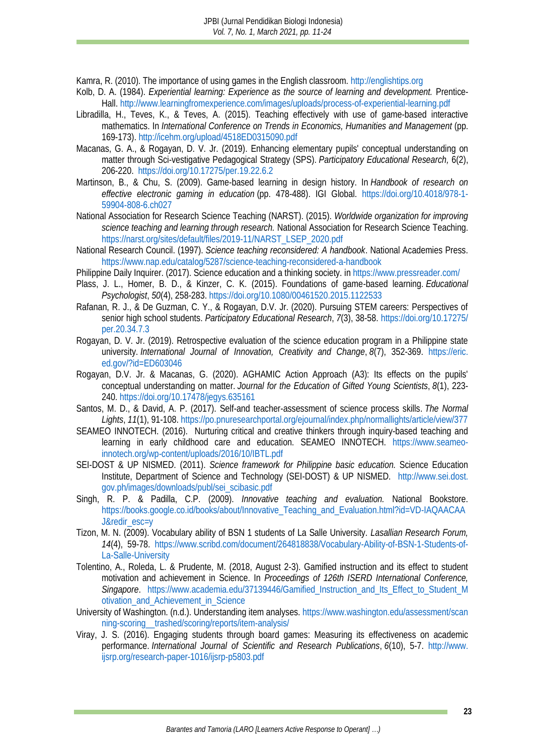Kamra, R. (2010). The importance of using games in the English classroom. [http://englishtips.org](http://englishtips.org/)

- <span id="page-12-13"></span>Kolb, D. A. (1984). *Experiential learning: Experience as the source of learning and development.* Prentice-Hall.<http://www.learningfromexperience.com/images/uploads/process-of-experiential-learning.pdf>
- <span id="page-12-7"></span>Libradilla, H., Teves, K., & Teves, A. (2015). Teaching effectively with use of game-based interactive mathematics. In *International Conference on Trends in Economics, Humanities and Management* (pp. 169-173). <http://icehm.org/upload/4518ED0315090.pdf>
- <span id="page-12-2"></span>Macanas, G. A., & Rogayan, D. V. Jr. (2019). Enhancing elementary pupils' conceptual understanding on matter through Sci-vestigative Pedagogical Strategy (SPS). *Participatory Educational Research,* 6(2), 206-220. <https://doi.org/10.17275/per.19.22.6.2>
- <span id="page-12-11"></span>Martinson, B., & Chu, S. (2009). Game-based learning in design history. In *Handbook of research on effective electronic gaming in education* (pp. 478-488). IGI Global. [https://doi.org/10.4018/978-1-](https://doi.org/10.4018/978-1-59904-808-6.ch027) [59904-808-6.ch027](https://doi.org/10.4018/978-1-59904-808-6.ch027)
- <span id="page-12-14"></span>National Association for Research Science Teaching (NARST). (2015). *Worldwide organization for improving science teaching and learning through research.* National Association for Research Science Teaching. [https://narst.org/sites/default/files/2019-11/NARST\\_LSEP\\_2020.pdf](https://narst.org/sites/default/files/2019-11/NARST_LSEP_2020.pdf)
- <span id="page-12-3"></span>National Research Council. (1997). *Science teaching reconsidered: A handbook*. National Academies Press. <https://www.nap.edu/catalog/5287/science-teaching-reconsidered-a-handbook>
- <span id="page-12-5"></span>Philippine Daily Inquirer. (2017). Science education and a thinking society. i[n https://www.pressreader.com/](https://www.pressreader.com/)
- <span id="page-12-0"></span>Plass, J. L., Homer, B. D., & Kinzer, C. K. (2015). Foundations of game-based learning. *Educational Psychologist*, *50*(4), 258-283. <https://doi.org/10.1080/00461520.2015.1122533>
- <span id="page-12-15"></span>Rafanan, R. J., & De Guzman, C. Y., & Rogayan, D.V. Jr. (2020). Pursuing STEM careers: Perspectives of senior high school students. *Participatory Educational Research*, *7*(3), 38-58. [https://doi.org/10.17275/](https://doi.org/10.17275/per.20.34.7.3) [per.20.34.7.3](https://doi.org/10.17275/per.20.34.7.3)
- <span id="page-12-16"></span>Rogayan, D. V. Jr. (2019). Retrospective evaluation of the science education program in a Philippine state university. *International Journal of Innovation, Creativity and Change*, *8*(7), 352-369. [https://eric.](https://eric.ed.gov/?id=ED603046) [ed.gov/?id=ED603046](https://eric.ed.gov/?id=ED603046)
- <span id="page-12-6"></span>Rogayan, D.V. Jr. & Macanas, G. (2020). AGHAMIC Action Approach (A3): Its effects on the pupils' conceptual understanding on matter. *Journal for the Education of Gifted Young Scientists*, *8*(1), 223- 240. <https://doi.org/10.17478/jegys.635161>
- <span id="page-12-17"></span>Santos, M. D., & David, A. P. (2017). Self-and teacher-assessment of science process skills. *The Normal Lights*, *11*(1), 91-108[. https://po.pnuresearchportal.org/ejournal/index.php/normallights/article/view/377](https://po.pnuresearchportal.org/ejournal/index.php/normallights/article/view/377)
- <span id="page-12-8"></span>SEAMEO INNOTECH. (2016). [Nurturing critical and creative thinkers through inquiry-based teaching and](https://www.seameo-innotech.org/portfolio_page/nurturing-critical-and-creative-thinkers-through-inquiry-based-teaching-and-learning-in-early-childhood-care-and-education/)  [learning in early childhood care and education. SEAMEO INNOTECH.](https://www.seameo-innotech.org/portfolio_page/nurturing-critical-and-creative-thinkers-through-inquiry-based-teaching-and-learning-in-early-childhood-care-and-education/) [https://www.seameo](https://www.seameo-innotech.org/wp-content/uploads/2016/10/IBTL.pdf)[innotech.org/wp-content/uploads/2016/10/IBTL.pdf](https://www.seameo-innotech.org/wp-content/uploads/2016/10/IBTL.pdf)
- <span id="page-12-1"></span>SEI-DOST & UP NISMED. (2011). *Science framework for Philippine basic education.* Science Education Institute, Department of Science and Technology (SEI-DOST) & UP NISMED. [http://www.sei.dost.](http://www.sei.dost.gov.ph/images/downloads/publ/sei_scibasic.pdf) [gov.ph/images/downloads/publ/sei\\_scibasic.pdf](http://www.sei.dost.gov.ph/images/downloads/publ/sei_scibasic.pdf)
- <span id="page-12-10"></span>Singh, R. P. & Padilla, C.P. (2009). *Innovative teaching and evaluation.* National Bookstore. [https://books.google.co.id/books/about/Innovative\\_Teaching\\_and\\_Evaluation.html?id=VD-IAQAACAA](https://books.google.co.id/books/about/Innovative_Teaching_and_Evaluation.html?id=VD-IAQAACAAJ&redir_esc=y) [J&redir\\_esc=y](https://books.google.co.id/books/about/Innovative_Teaching_and_Evaluation.html?id=VD-IAQAACAAJ&redir_esc=y)
- <span id="page-12-9"></span>Tizon, M. N. (2009). Vocabulary ability of BSN 1 students of La Salle University. *Lasallian Research Forum, 14*(4), 59-78. [https://www.scribd.com/document/264818838/Vocabulary-Ability-of-BSN-1-Students-of-](https://www.scribd.com/document/264818838/Vocabulary-Ability-of-BSN-1-Students-of-La-Salle-University)[La-Salle-University](https://www.scribd.com/document/264818838/Vocabulary-Ability-of-BSN-1-Students-of-La-Salle-University)
- <span id="page-12-4"></span>Tolentino, A., Roleda, L. & Prudente, M. (2018, August 2-3). Gamified instruction and its effect to student motivation and achievement in Science. In *Proceedings of 126th ISERD International Conference, Singapore*. [https://www.academia.edu/37139446/Gamified\\_Instruction\\_and\\_Its\\_Effect\\_to\\_Student\\_M](https://www.academia.edu/37139446/Gamified_Instruction_and_Its_Effect_to_Student_Motivation_and_Achievement_in_Science) [otivation\\_and\\_Achievement\\_in\\_Science](https://www.academia.edu/37139446/Gamified_Instruction_and_Its_Effect_to_Student_Motivation_and_Achievement_in_Science)
- University of Washington. (n.d.). Understanding item analyses. [https://www.washington.edu/assessment/scan](https://www.washington.edu/assessment/scanning-scoring__trashed/scoring/reports/item-analysis/) [ning-scoring\\_\\_trashed/scoring/reports/item-analysis/](https://www.washington.edu/assessment/scanning-scoring__trashed/scoring/reports/item-analysis/)
- <span id="page-12-12"></span>Viray, J. S. (2016). Engaging students through board games: Measuring its effectiveness on academic performance. *International Journal of Scientific and Research Publications*, *6*(10), 5-7. [http://www.](http://www.ijsrp.org/research-paper-1016/ijsrp-p5803.pdf) [ijsrp.org/research-paper-1016/ijsrp-p5803.pdf](http://www.ijsrp.org/research-paper-1016/ijsrp-p5803.pdf)